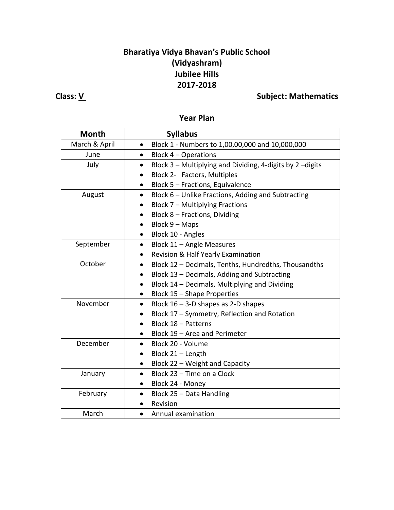## **Bharatiya Vidya Bhavan's Public School (Vidyashram) Jubilee Hills 2017-2018**

## **Class:** <u>V</u> Class: <u>V</u> Subject: Mathematics

### **Year Plan**

| <b>Month</b>  | <b>Syllabus</b>                                                        |  |  |
|---------------|------------------------------------------------------------------------|--|--|
| March & April | Block 1 - Numbers to 1,00,00,000 and 10,000,000<br>$\bullet$           |  |  |
| June          | Block 4 - Operations<br>$\bullet$                                      |  |  |
| July          | Block 3 - Multiplying and Dividing, 4-digits by 2 -digits<br>$\bullet$ |  |  |
|               | Block 2- Factors, Multiples                                            |  |  |
|               | Block 5 - Fractions, Equivalence<br>$\bullet$                          |  |  |
| August        | Block 6 - Unlike Fractions, Adding and Subtracting<br>$\bullet$        |  |  |
|               | Block 7 - Multiplying Fractions<br>$\bullet$                           |  |  |
|               | Block 8 - Fractions, Dividing                                          |  |  |
|               | Block 9 - Maps<br>$\bullet$                                            |  |  |
|               | Block 10 - Angles<br>$\bullet$                                         |  |  |
| September     | Block 11 - Angle Measures<br>$\bullet$                                 |  |  |
|               | Revision & Half Yearly Examination<br>$\bullet$                        |  |  |
| October       | Block 12 - Decimals, Tenths, Hundredths, Thousandths<br>$\bullet$      |  |  |
|               | Block 13 - Decimals, Adding and Subtracting<br>٠                       |  |  |
|               | Block 14 - Decimals, Multiplying and Dividing<br>$\bullet$             |  |  |
|               | Block 15 - Shape Properties<br>$\bullet$                               |  |  |
| November      | Block $16 - 3 - D$ shapes as 2-D shapes<br>$\bullet$                   |  |  |
|               | Block 17 - Symmetry, Reflection and Rotation                           |  |  |
|               | Block 18 - Patterns                                                    |  |  |
|               | Block 19 - Area and Perimeter                                          |  |  |
| December      | Block 20 - Volume<br>$\bullet$                                         |  |  |
|               | Block 21 - Length<br>$\bullet$                                         |  |  |
|               | Block 22 - Weight and Capacity<br>$\bullet$                            |  |  |
| January       | Block 23 - Time on a Clock<br>$\bullet$                                |  |  |
|               | Block 24 - Money<br>$\bullet$                                          |  |  |
| February      | Block 25 - Data Handling<br>$\bullet$                                  |  |  |
|               | Revision                                                               |  |  |
| March         | Annual examination<br>$\bullet$                                        |  |  |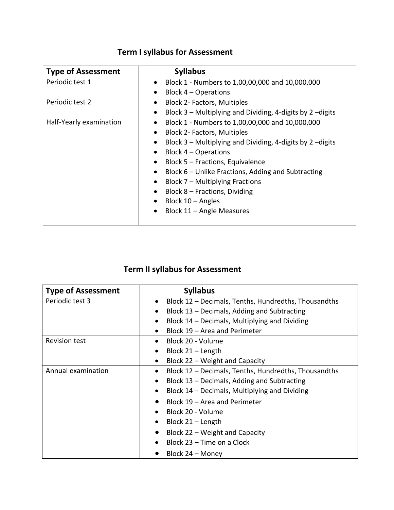# **Term I syllabus for Assessment**

| <b>Type of Assessment</b> | <b>Syllabus</b>                                                        |  |
|---------------------------|------------------------------------------------------------------------|--|
| Periodic test 1           | Block 1 - Numbers to 1,00,00,000 and 10,000,000                        |  |
|                           | Block $4$ – Operations<br>$\bullet$                                    |  |
| Periodic test 2           | <b>Block 2- Factors, Multiples</b>                                     |  |
|                           | Block 3 – Multiplying and Dividing, 4-digits by 2 –digits<br>$\bullet$ |  |
| Half-Yearly examination   | Block 1 - Numbers to 1,00,00,000 and 10,000,000                        |  |
|                           | <b>Block 2- Factors, Multiples</b>                                     |  |
|                           | Block 3 – Multiplying and Dividing, 4-digits by 2 –digits<br>$\bullet$ |  |
|                           | Block 4 - Operations                                                   |  |
|                           | Block 5 - Fractions, Equivalence                                       |  |
|                           | Block 6 – Unlike Fractions, Adding and Subtracting<br>$\bullet$        |  |
|                           | Block 7 – Multiplying Fractions                                        |  |
|                           | Block 8 - Fractions, Dividing                                          |  |
|                           | Block $10 -$ Angles<br>$\bullet$                                       |  |
|                           | Block 11 - Angle Measures                                              |  |

# **Term II syllabus for Assessment**

| <b>Type of Assessment</b> | <b>Syllabus</b>                                                   |  |  |
|---------------------------|-------------------------------------------------------------------|--|--|
| Periodic test 3           | Block 12 - Decimals, Tenths, Hundredths, Thousandths<br>$\bullet$ |  |  |
|                           | Block 13 – Decimals, Adding and Subtracting                       |  |  |
|                           | Block 14 – Decimals, Multiplying and Dividing<br>$\bullet$        |  |  |
|                           | Block 19 - Area and Perimeter                                     |  |  |
| <b>Revision test</b>      | Block 20 - Volume<br>$\bullet$                                    |  |  |
|                           | Block $21 -$ Length<br>$\bullet$                                  |  |  |
|                           | Block 22 – Weight and Capacity<br>$\bullet$                       |  |  |
| Annual examination        | Block 12 - Decimals, Tenths, Hundredths, Thousandths              |  |  |
|                           | Block 13 – Decimals, Adding and Subtracting                       |  |  |
|                           | Block 14 – Decimals, Multiplying and Dividing<br>$\bullet$        |  |  |
|                           | Block 19 - Area and Perimeter                                     |  |  |
|                           | Block 20 - Volume<br>$\bullet$                                    |  |  |
|                           | Block $21$ – Length<br>$\bullet$                                  |  |  |
|                           | Block 22 – Weight and Capacity                                    |  |  |
|                           | Block 23 – Time on a Clock                                        |  |  |
|                           | Block 24 – Money                                                  |  |  |